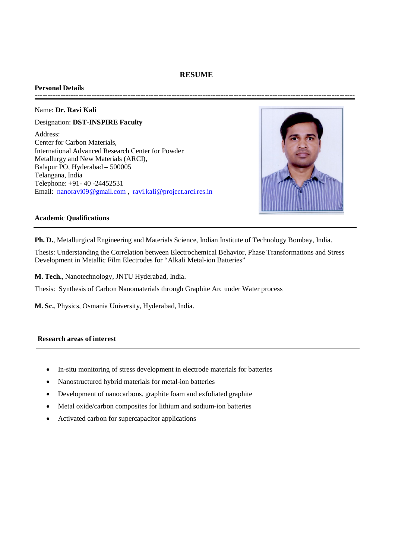# **RESUME**

#### **Personal Details ----------------------------------------------------------------------------------------------------------------------------**

### Name: **Dr. Ravi Kali**

Designation: **DST-INSPIRE Faculty** Address: Center for Carbon Materials, International Advanced Research Center for Powder Metallurgy and New Materials (ARCI), Balapur PO, Hyderabad – 500005 Telangana, India Telephone: +91- 40 -24452531 Email: nanoravi09@gmail.com , ravi.kali@project.arci.res.in



### **Academic Qualifications**

**Ph. D.**, Metallurgical Engineering and Materials Science, Indian Institute of Technology Bombay, India.

Thesis: Understanding the Correlation between Electrochemical Behavior, Phase Transformations and Stress Development in Metallic Film Electrodes for "Alkali Metal-ion Batteries"

**M. Tech.**, Nanotechnology, JNTU Hyderabad, India.

Thesis: Synthesis of Carbon Nanomaterials through Graphite Arc under Water process

**M. Sc.**, Physics, Osmania University, Hyderabad, India.

# **Research areas of interest**

- In-situ monitoring of stress development in electrode materials for batteries
- Nanostructured hybrid materials for metal-ion batteries
- Development of nanocarbons, graphite foam and exfoliated graphite
- Metal oxide/carbon composites for lithium and sodium-ion batteries
- Activated carbon for supercapacitor applications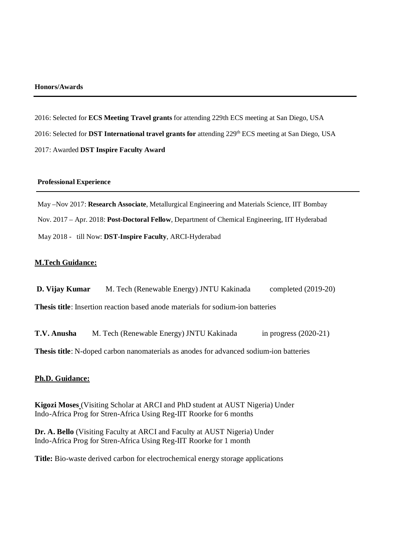### **Honors/Awards**

2016: Selected for **ECS Meeting Travel grants** for attending 229th ECS meeting at San Diego, USA 2016: Selected for **DST International travel grants for** attending 229<sup>th</sup> ECS meeting at San Diego, USA 2017: Awarded **DST Inspire Faculty Award** 

#### **Professional Experience**

May –Nov 2017: **Research Associate**, Metallurgical Engineering and Materials Science, IIT Bombay Nov. 2017 – Apr. 2018: **Post-Doctoral Fellow**, Department of Chemical Engineering, IIT Hyderabad May 2018 - till Now: **DST-Inspire Faculty**, ARCI-Hyderabad

## **M.Tech Guidance:**

**D. Vijay Kumar** M. Tech (Renewable Energy) JNTU Kakinada completed (2019-20) **Thesis title**: Insertion reaction based anode materials for sodium-ion batteries

**T.V. Anusha** M. Tech (Renewable Energy) JNTU Kakinada in progress (2020-21)

**Thesis title**: N-doped carbon nanomaterials as anodes for advanced sodium-ion batteries

#### **Ph.D. Guidance:**

**Kigozi Moses** (Visiting Scholar at ARCI and PhD student at AUST Nigeria) Under Indo-Africa Prog for Stren-Africa Using Reg-IIT Roorke for 6 months

**Dr. A. Bello** (Visiting Faculty at ARCI and Faculty at AUST Nigeria) Under Indo-Africa Prog for Stren-Africa Using Reg-IIT Roorke for 1 month

**Title:** Bio-waste derived carbon for electrochemical energy storage applications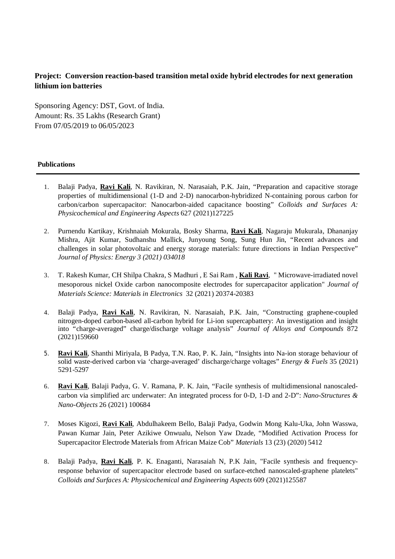# **Project: Conversion reaction-based transition metal oxide hybrid electrodes for next generation lithium ion batteries**

Sponsoring Agency: DST, Govt. of India. Amount: Rs. 35 Lakhs (Research Grant) From 07/05/2019 to 06/05/2023

### **Publications**

- 1. Balaji Padya, **Ravi Kali**, N. Ravikiran, N. Narasaiah, P.K. Jain, "Preparation and capacitive storage properties of multidimensional (1-D and 2-D) nanocarbon-hybridized N-containing porous carbon for carbon/carbon supercapacitor: Nanocarbon-aided capacitance boosting" *Colloids and Surfaces A: Physicochemical and Engineering Aspects* 627 (2021)127225
- 2. Purnendu Kartikay, Krishnaiah Mokurala, Bosky Sharma, **Ravi Kali**, Nagaraju Mukurala, Dhananjay Mishra, Ajit Kumar, Sudhanshu Mallick, Junyoung Song, Sung Hun Jin, "Recent advances and challenges in solar photovoltaic and energy storage materials: future directions in Indian Perspective" *Journal of Physics: Energy 3 (2021) 034018*
- 3. T. Rakesh Kumar, CH Shilpa Chakra, S Madhuri , E Sai Ram , **Kali Ravi**, " Microwave-irradiated novel mesoporous nickel Oxide carbon nanocomposite electrodes for supercapacitor application" *Journal of Materials Science: Materials in Electronics* 32 (2021) 20374-20383
- 4. Balaji Padya, **Ravi Kali**, N. Ravikiran, N. Narasaiah, P.K. Jain, "Constructing graphene-coupled nitrogen-doped carbon-based all-carbon hybrid for Li-ion supercapbattery: An investigation and insight into "charge-averaged" charge/discharge voltage analysis" *Journal of Alloys and Compounds* 872 (2021)159660
- 5. **Ravi Kali**, Shanthi Miriyala, B Padya, T.N. Rao, P. K. Jain, "Insights into Na-ion storage behaviour of solid waste-derived carbon via 'charge-averaged' discharge/charge voltages" *Energy & Fuels* 35 (2021) 5291-5297
- 6. **Ravi Kali**, Balaji Padya, G. V. Ramana, P. K. Jain, "Facile synthesis of multidimensional nanoscaledcarbon via simplified arc underwater: An integrated process for 0-D, 1-D and 2-D": *Nano-Structures & Nano-Objects* 26 (2021) 100684
- 7. Moses Kigozi, **Ravi Kali**, Abdulhakeem Bello, Balaji Padya, Godwin Mong Kalu-Uka, John Wasswa, Pawan Kumar Jain, Peter Azikiwe Onwualu, Nelson Yaw Dzade, "Modified Activation Process for Supercapacitor Electrode Materials from African Maize Cob" *Materials* 13 (23) (2020) 5412
- 8. Balaji Padya, **Ravi Kali**, P. K. Enaganti, Narasaiah N, P.K Jain, "Facile synthesis and frequencyresponse behavior of supercapacitor electrode based on surface-etched nanoscaled-graphene platelets" *Colloids and Surfaces A: Physicochemical and Engineering Aspects* 609 (2021)125587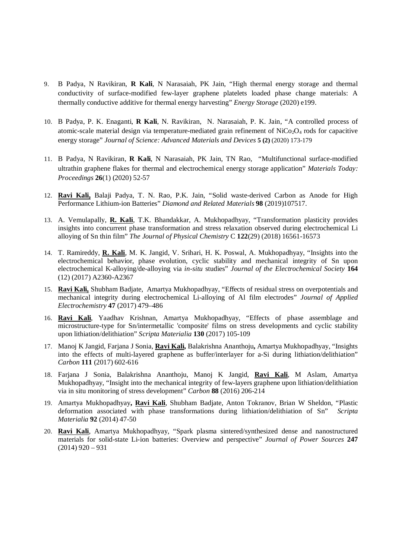- 9. B Padya, N Ravikiran, **R Kali**, N Narasaiah, PK Jain, "High thermal energy storage and thermal conductivity of surface-modified few-layer graphene platelets loaded phase change materials: A thermally conductive additive for thermal energy harvesting" *Energy Storage* (2020) e199.
- 10. B Padya, P. K. Enaganti, **R Kali**, N. Ravikiran, N. Narasaiah, P. K. Jain, "A controlled process of atomic-scale material design via temperature-mediated grain refinement of  $NiCo<sub>2</sub>O<sub>4</sub>$  rods for capacitive energy storage" *Journal of Science: Advanced Materials and Devices* **5 (2)** (2020) 173-179
- 11. B Padya, N Ravikiran, **R Kali**, N Narasaiah, PK Jain, TN Rao, "Multifunctional surface-modified ultrathin graphene flakes for thermal and electrochemical energy storage application" *Materials Today: Proceedings* **26**(1) (2020) 52-57
- 12. **Ravi Kali,** Balaji Padya, T. N. Rao, P.K. Jain, "Solid waste-derived Carbon as Anode for High Performance Lithium-ion Batteries" *Diamond and Related Materials* **98** (2019)107517.
- 13. A. Vemulapally, **R. Kali**, T.K. Bhandakkar, A. Mukhopadhyay, "Transformation plasticity provides insights into concurrent phase transformation and stress relaxation observed during electrochemical Li alloying of Sn thin film" *The Journal of Physical Chemistry* C **122**(29) (2018) 16561-16573
- 14. T. Ramireddy, **R. Kali**, M. K. Jangid, V. Srihari, H. K. Poswal, A. Mukhopadhyay, "Insights into the electrochemical behavior, phase evolution, cyclic stability and mechanical integrity of Sn upon electrochemical K-alloying/de-alloying via *in-situ* studies" *Journal of the Electrochemical Society* **164**  (12) (2017) A2360-A2367
- 15. **Ravi Kali,** Shubham Badjate, Amartya Mukhopadhyay, "Effects of residual stress on overpotentials and mechanical integrity during electrochemical Li-alloying of Al film electrodes" *Journal of Applied Electrochemistry* **47** (2017) 479–486
- 16. **Ravi Kali**, Yaadhav Krishnan, Amartya Mukhopadhyay, "Effects of phase assemblage and microstructure-type for Sn/intermetallic 'composite' films on stress developments and cyclic stability upon lithiation/delithiation" *Scripta Materialia* **130** (2017) 105-109
- 17. Manoj K Jangid, Farjana J Sonia, **Ravi Kali,** Balakrishna Ananthoju**,** Amartya Mukhopadhyay, "Insights into the effects of multi-layered graphene as buffer/interlayer for a-Si during lithiation/delithiation" *Carbon* **111** (2017) 602-616
- 18. Farjana J Sonia, Balakrishna Ananthoju, Manoj K Jangid, **Ravi Kali**, M Aslam, Amartya Mukhopadhyay, "Insight into the mechanical integrity of few-layers graphene upon lithiation/delithiation via in situ monitoring of stress development" *Carbon* **88** (2016) 206-214
- 19. Amartya Mukhopadhyay**, Ravi Kali**, Shubham Badjate, Anton Tokranov, Brian W Sheldon, "Plastic deformation associated with phase transformations during lithiation/delithiation of Sn" *Scripta Materialia* **92** (2014) 47-50
- 20. **Ravi Kali**, Amartya Mukhopadhyay, "Spark plasma sintered/synthesized dense and nanostructured materials for solid-state Li-ion batteries: Overview and perspective" *Journal of Power Sources* **247**  $(2014)$  920 – 931